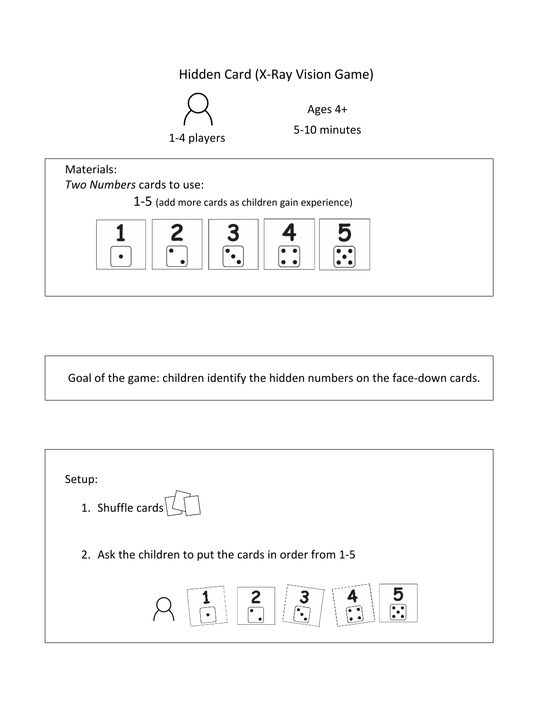## Hidden Card (X-Ray Vision Game)



Ages 4+



Goal of the game: children identify the hidden numbers on the face-down cards.